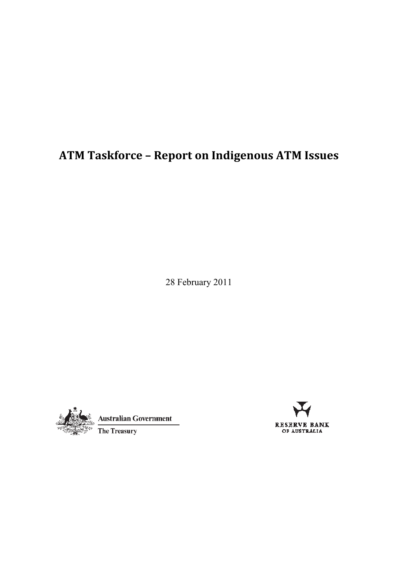# **ATM Taskforce – Report on Indigenous ATM Issues**

28 February 2011





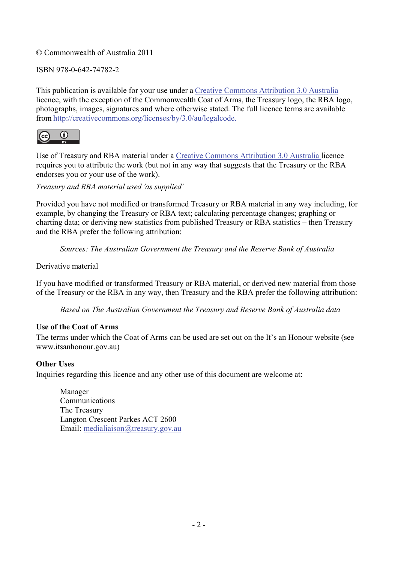#### © Commonwealth of Australia 2011

#### ISBN 978-0-642-74782-2

This publication is available for your use under a Creative Commons Attribution 3.0 Australia licence, with the exception of the Commonwealth Coat of Arms, the Treasury logo, the RBA logo, photographs, images, signatures and where otherwise stated. The full licence terms are available from http://creativecommons.org/licenses/by/3.0/au/legalcode.



Use of Treasury and RBA material under a Creative Commons Attribution 3.0 Australia licence requires you to attribute the work (but not in any way that suggests that the Treasury or the RBA endorses you or your use of the work).

*Treasury and RBA material used 'as supplied'* 

Provided you have not modified or transformed Treasury or RBA material in any way including, for example, by changing the Treasury or RBA text; calculating percentage changes; graphing or charting data; or deriving new statistics from published Treasury or RBA statistics – then Treasury and the RBA prefer the following attribution:

*Sources: The Australian Government the Treasury and the Reserve Bank of Australia*

Derivative material

If you have modified or transformed Treasury or RBA material, or derived new material from those of the Treasury or the RBA in any way, then Treasury and the RBA prefer the following attribution:

*Based on The Australian Government the Treasury and Reserve Bank of Australia data*

#### **Use of the Coat of Arms**

The terms under which the Coat of Arms can be used are set out on the It's an Honour website (see www.itsanhonour.gov.au)

#### **Other Uses**

Inquiries regarding this licence and any other use of this document are welcome at:

Manager Communications The Treasury Langton Crescent Parkes ACT 2600 Email: medialiaison@treasury.gov.au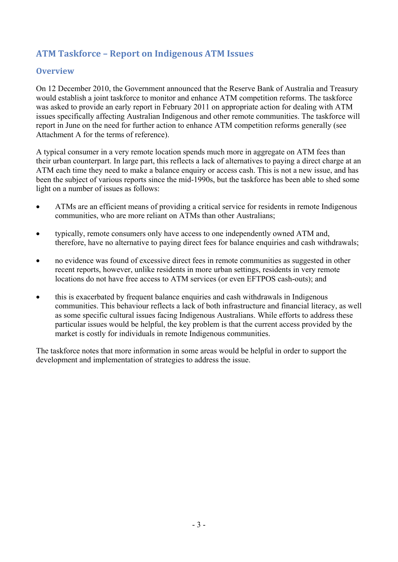# **ATM Taskforce – Report on Indigenous ATM Issues**

#### **Overview**

On 12 December 2010, the Government announced that the Reserve Bank of Australia and Treasury would establish a joint taskforce to monitor and enhance ATM competition reforms. The taskforce was asked to provide an early report in February 2011 on appropriate action for dealing with ATM issues specifically affecting Australian Indigenous and other remote communities. The taskforce will report in June on the need for further action to enhance ATM competition reforms generally (see Attachment A for the terms of reference).

A typical consumer in a very remote location spends much more in aggregate on ATM fees than their urban counterpart. In large part, this reflects a lack of alternatives to paying a direct charge at an ATM each time they need to make a balance enquiry or access cash. This is not a new issue, and has been the subject of various reports since the mid-1990s, but the taskforce has been able to shed some light on a number of issues as follows:

- ATMs are an efficient means of providing a critical service for residents in remote Indigenous communities, who are more reliant on ATMs than other Australians;
- typically, remote consumers only have access to one independently owned ATM and, therefore, have no alternative to paying direct fees for balance enquiries and cash withdrawals;
- no evidence was found of excessive direct fees in remote communities as suggested in other recent reports, however, unlike residents in more urban settings, residents in very remote locations do not have free access to ATM services (or even EFTPOS cash-outs); and
- this is exacerbated by frequent balance enquiries and cash withdrawals in Indigenous communities. This behaviour reflects a lack of both infrastructure and financial literacy, as well as some specific cultural issues facing Indigenous Australians. While efforts to address these particular issues would be helpful, the key problem is that the current access provided by the market is costly for individuals in remote Indigenous communities.

The taskforce notes that more information in some areas would be helpful in order to support the development and implementation of strategies to address the issue.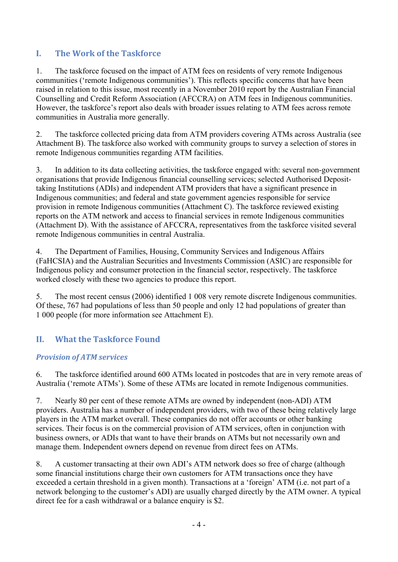# **I. The Work of the Taskforce**

1. The taskforce focused on the impact of ATM fees on residents of very remote Indigenous communities ('remote Indigenous communities'). This reflects specific concerns that have been raised in relation to this issue, most recently in a November 2010 report by the Australian Financial Counselling and Credit Reform Association (AFCCRA) on ATM fees in Indigenous communities. However, the taskforce's report also deals with broader issues relating to ATM fees across remote communities in Australia more generally.

2. The taskforce collected pricing data from ATM providers covering ATMs across Australia (see Attachment B). The taskforce also worked with community groups to survey a selection of stores in remote Indigenous communities regarding ATM facilities.

3. In addition to its data collecting activities, the taskforce engaged with: several non-government organisations that provide Indigenous financial counselling services; selected Authorised Deposittaking Institutions (ADIs) and independent ATM providers that have a significant presence in Indigenous communities; and federal and state government agencies responsible for service provision in remote Indigenous communities (Attachment C). The taskforce reviewed existing reports on the ATM network and access to financial services in remote Indigenous communities (Attachment D). With the assistance of AFCCRA, representatives from the taskforce visited several remote Indigenous communities in central Australia.

4. The Department of Families, Housing, Community Services and Indigenous Affairs (FaHCSIA) and the Australian Securities and Investments Commission (ASIC) are responsible for Indigenous policy and consumer protection in the financial sector, respectively. The taskforce worked closely with these two agencies to produce this report.

5. The most recent census (2006) identified 1 008 very remote discrete Indigenous communities. Of these, 767 had populations of less than 50 people and only 12 had populations of greater than 1 000 people (for more information see Attachment E).

# **II. What the Taskforce Found**

### *Provision of ATM services*

6. The taskforce identified around 600 ATMs located in postcodes that are in very remote areas of Australia ('remote ATMs'). Some of these ATMs are located in remote Indigenous communities.

7. Nearly 80 per cent of these remote ATMs are owned by independent (non-ADI) ATM providers. Australia has a number of independent providers, with two of these being relatively large players in the ATM market overall. These companies do not offer accounts or other banking services. Their focus is on the commercial provision of ATM services, often in conjunction with business owners, or ADIs that want to have their brands on ATMs but not necessarily own and manage them. Independent owners depend on revenue from direct fees on ATMs.

8. A customer transacting at their own ADI's ATM network does so free of charge (although some financial institutions charge their own customers for ATM transactions once they have exceeded a certain threshold in a given month). Transactions at a 'foreign' ATM (i.e. not part of a network belonging to the customer's ADI) are usually charged directly by the ATM owner. A typical direct fee for a cash withdrawal or a balance enquiry is \$2.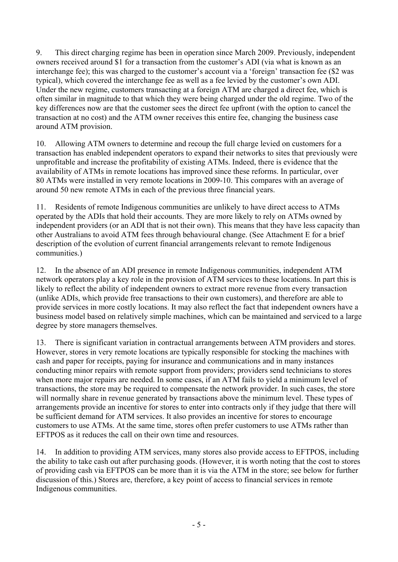9. This direct charging regime has been in operation since March 2009. Previously, independent owners received around \$1 for a transaction from the customer's ADI (via what is known as an interchange fee); this was charged to the customer's account via a 'foreign' transaction fee (\$2 was typical), which covered the interchange fee as well as a fee levied by the customer's own ADI. Under the new regime, customers transacting at a foreign ATM are charged a direct fee, which is often similar in magnitude to that which they were being charged under the old regime. Two of the key differences now are that the customer sees the direct fee upfront (with the option to cancel the transaction at no cost) and the ATM owner receives this entire fee, changing the business case around ATM provision.

10. Allowing ATM owners to determine and recoup the full charge levied on customers for a transaction has enabled independent operators to expand their networks to sites that previously were unprofitable and increase the profitability of existing ATMs. Indeed, there is evidence that the availability of ATMs in remote locations has improved since these reforms. In particular, over 80 ATMs were installed in very remote locations in 2009-10. This compares with an average of around 50 new remote ATMs in each of the previous three financial years.

11. Residents of remote Indigenous communities are unlikely to have direct access to ATMs operated by the ADIs that hold their accounts. They are more likely to rely on ATMs owned by independent providers (or an ADI that is not their own). This means that they have less capacity than other Australians to avoid ATM fees through behavioural change. (See Attachment E for a brief description of the evolution of current financial arrangements relevant to remote Indigenous communities.)

12. In the absence of an ADI presence in remote Indigenous communities, independent ATM network operators play a key role in the provision of ATM services to these locations. In part this is likely to reflect the ability of independent owners to extract more revenue from every transaction (unlike ADIs, which provide free transactions to their own customers), and therefore are able to provide services in more costly locations. It may also reflect the fact that independent owners have a business model based on relatively simple machines, which can be maintained and serviced to a large degree by store managers themselves.

13. There is significant variation in contractual arrangements between ATM providers and stores. However, stores in very remote locations are typically responsible for stocking the machines with cash and paper for receipts, paying for insurance and communications and in many instances conducting minor repairs with remote support from providers; providers send technicians to stores when more major repairs are needed. In some cases, if an ATM fails to yield a minimum level of transactions, the store may be required to compensate the network provider. In such cases, the store will normally share in revenue generated by transactions above the minimum level. These types of arrangements provide an incentive for stores to enter into contracts only if they judge that there will be sufficient demand for ATM services. It also provides an incentive for stores to encourage customers to use ATMs. At the same time, stores often prefer customers to use ATMs rather than EFTPOS as it reduces the call on their own time and resources.

14. In addition to providing ATM services, many stores also provide access to EFTPOS, including the ability to take cash out after purchasing goods. (However, it is worth noting that the cost to stores of providing cash via EFTPOS can be more than it is via the ATM in the store; see below for further discussion of this.) Stores are, therefore, a key point of access to financial services in remote Indigenous communities.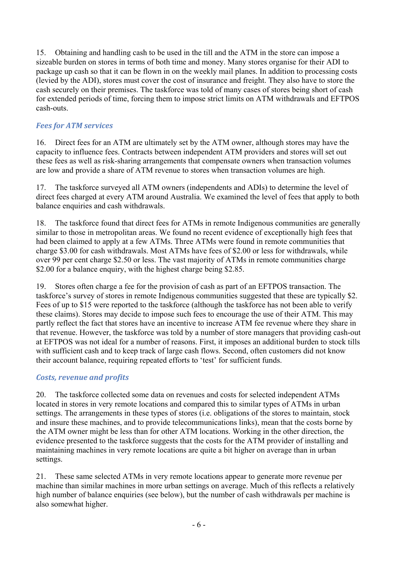15. Obtaining and handling cash to be used in the till and the ATM in the store can impose a sizeable burden on stores in terms of both time and money. Many stores organise for their ADI to package up cash so that it can be flown in on the weekly mail planes. In addition to processing costs (levied by the ADI), stores must cover the cost of insurance and freight. They also have to store the cash securely on their premises. The taskforce was told of many cases of stores being short of cash for extended periods of time, forcing them to impose strict limits on ATM withdrawals and EFTPOS cash-outs.

### *Fees for ATM services*

16. Direct fees for an ATM are ultimately set by the ATM owner, although stores may have the capacity to influence fees. Contracts between independent ATM providers and stores will set out these fees as well as risk-sharing arrangements that compensate owners when transaction volumes are low and provide a share of ATM revenue to stores when transaction volumes are high.

17. The taskforce surveyed all ATM owners (independents and ADIs) to determine the level of direct fees charged at every ATM around Australia. We examined the level of fees that apply to both balance enquiries and cash withdrawals.

18. The taskforce found that direct fees for ATMs in remote Indigenous communities are generally similar to those in metropolitan areas. We found no recent evidence of exceptionally high fees that had been claimed to apply at a few ATMs. Three ATMs were found in remote communities that charge \$3.00 for cash withdrawals. Most ATMs have fees of \$2.00 or less for withdrawals, while over 99 per cent charge \$2.50 or less. The vast majority of ATMs in remote communities charge \$2.00 for a balance enquiry, with the highest charge being \$2.85.

19. Stores often charge a fee for the provision of cash as part of an EFTPOS transaction. The taskforce's survey of stores in remote Indigenous communities suggested that these are typically \$2. Fees of up to \$15 were reported to the taskforce (although the taskforce has not been able to verify these claims). Stores may decide to impose such fees to encourage the use of their ATM. This may partly reflect the fact that stores have an incentive to increase ATM fee revenue where they share in that revenue. However, the taskforce was told by a number of store managers that providing cash-out at EFTPOS was not ideal for a number of reasons. First, it imposes an additional burden to stock tills with sufficient cash and to keep track of large cash flows. Second, often customers did not know their account balance, requiring repeated efforts to 'test' for sufficient funds.

### *Costs, revenue and profits*

20. The taskforce collected some data on revenues and costs for selected independent ATMs located in stores in very remote locations and compared this to similar types of ATMs in urban settings. The arrangements in these types of stores (i.e. obligations of the stores to maintain, stock and insure these machines, and to provide telecommunications links), mean that the costs borne by the ATM owner might be less than for other ATM locations. Working in the other direction, the evidence presented to the taskforce suggests that the costs for the ATM provider of installing and maintaining machines in very remote locations are quite a bit higher on average than in urban settings.

21. These same selected ATMs in very remote locations appear to generate more revenue per machine than similar machines in more urban settings on average. Much of this reflects a relatively high number of balance enquiries (see below), but the number of cash withdrawals per machine is also somewhat higher.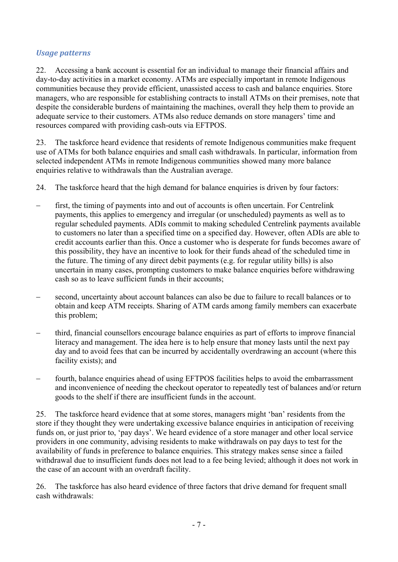#### *Usage patterns*

22. Accessing a bank account is essential for an individual to manage their financial affairs and day-to-day activities in a market economy. ATMs are especially important in remote Indigenous communities because they provide efficient, unassisted access to cash and balance enquiries. Store managers, who are responsible for establishing contracts to install ATMs on their premises, note that despite the considerable burdens of maintaining the machines, overall they help them to provide an adequate service to their customers. ATMs also reduce demands on store managers' time and resources compared with providing cash-outs via EFTPOS.

23. The taskforce heard evidence that residents of remote Indigenous communities make frequent use of ATMs for both balance enquiries and small cash withdrawals. In particular, information from selected independent ATMs in remote Indigenous communities showed many more balance enquiries relative to withdrawals than the Australian average.

- 24. The taskforce heard that the high demand for balance enquiries is driven by four factors:
- first, the timing of payments into and out of accounts is often uncertain. For Centrelink payments, this applies to emergency and irregular (or unscheduled) payments as well as to regular scheduled payments. ADIs commit to making scheduled Centrelink payments available to customers no later than a specified time on a specified day. However, often ADIs are able to credit accounts earlier than this. Once a customer who is desperate for funds becomes aware of this possibility, they have an incentive to look for their funds ahead of the scheduled time in the future. The timing of any direct debit payments (e.g. for regular utility bills) is also uncertain in many cases, prompting customers to make balance enquiries before withdrawing cash so as to leave sufficient funds in their accounts;
- second, uncertainty about account balances can also be due to failure to recall balances or to obtain and keep ATM receipts. Sharing of ATM cards among family members can exacerbate this problem;
- third, financial counsellors encourage balance enquiries as part of efforts to improve financial literacy and management. The idea here is to help ensure that money lasts until the next pay day and to avoid fees that can be incurred by accidentally overdrawing an account (where this facility exists); and
- fourth, balance enquiries ahead of using EFTPOS facilities helps to avoid the embarrassment and inconvenience of needing the checkout operator to repeatedly test of balances and/or return goods to the shelf if there are insufficient funds in the account.

25. The taskforce heard evidence that at some stores, managers might 'ban' residents from the store if they thought they were undertaking excessive balance enquiries in anticipation of receiving funds on, or just prior to, 'pay days'. We heard evidence of a store manager and other local service providers in one community, advising residents to make withdrawals on pay days to test for the availability of funds in preference to balance enquiries. This strategy makes sense since a failed withdrawal due to insufficient funds does not lead to a fee being levied; although it does not work in the case of an account with an overdraft facility.

26. The taskforce has also heard evidence of three factors that drive demand for frequent small cash withdrawals: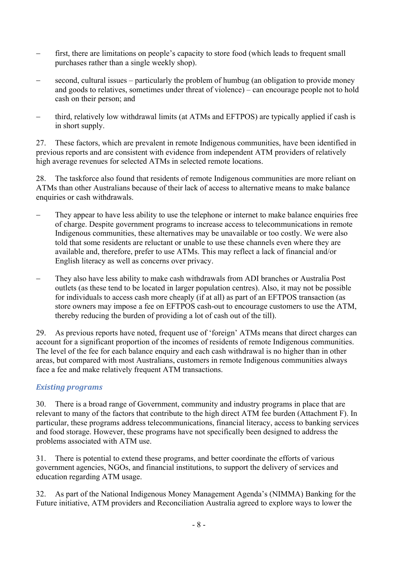- first, there are limitations on people's capacity to store food (which leads to frequent small purchases rather than a single weekly shop).
- second, cultural issues particularly the problem of humbug (an obligation to provide money and goods to relatives, sometimes under threat of violence) – can encourage people not to hold cash on their person; and
- third, relatively low withdrawal limits (at ATMs and EFTPOS) are typically applied if cash is in short supply.

27. These factors, which are prevalent in remote Indigenous communities, have been identified in previous reports and are consistent with evidence from independent ATM providers of relatively high average revenues for selected ATMs in selected remote locations.

28. The taskforce also found that residents of remote Indigenous communities are more reliant on ATMs than other Australians because of their lack of access to alternative means to make balance enquiries or cash withdrawals.

- They appear to have less ability to use the telephone or internet to make balance enquiries free of charge. Despite government programs to increase access to telecommunications in remote Indigenous communities, these alternatives may be unavailable or too costly. We were also told that some residents are reluctant or unable to use these channels even where they are available and, therefore, prefer to use ATMs. This may reflect a lack of financial and/or English literacy as well as concerns over privacy.
- They also have less ability to make cash withdrawals from ADI branches or Australia Post outlets (as these tend to be located in larger population centres). Also, it may not be possible for individuals to access cash more cheaply (if at all) as part of an EFTPOS transaction (as store owners may impose a fee on EFTPOS cash-out to encourage customers to use the ATM, thereby reducing the burden of providing a lot of cash out of the till).

29. As previous reports have noted, frequent use of 'foreign' ATMs means that direct charges can account for a significant proportion of the incomes of residents of remote Indigenous communities. The level of the fee for each balance enquiry and each cash withdrawal is no higher than in other areas, but compared with most Australians, customers in remote Indigenous communities always face a fee and make relatively frequent ATM transactions.

### *Existing programs*

30. There is a broad range of Government, community and industry programs in place that are relevant to many of the factors that contribute to the high direct ATM fee burden (Attachment F). In particular, these programs address telecommunications, financial literacy, access to banking services and food storage. However, these programs have not specifically been designed to address the problems associated with ATM use.

31. There is potential to extend these programs, and better coordinate the efforts of various government agencies, NGOs, and financial institutions, to support the delivery of services and education regarding ATM usage.

32. As part of the National Indigenous Money Management Agenda's (NIMMA) Banking for the Future initiative, ATM providers and Reconciliation Australia agreed to explore ways to lower the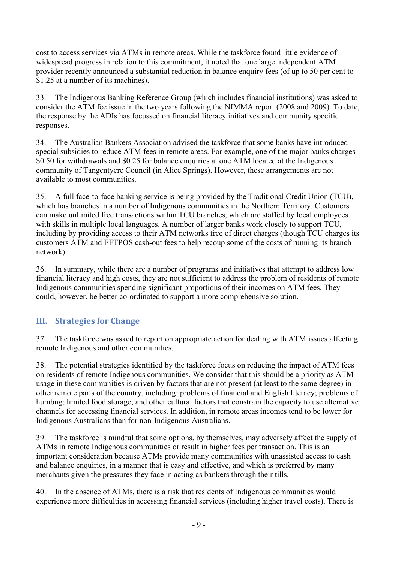cost to access services via ATMs in remote areas. While the taskforce found little evidence of widespread progress in relation to this commitment, it noted that one large independent ATM provider recently announced a substantial reduction in balance enquiry fees (of up to 50 per cent to \$1.25 at a number of its machines).

33. The Indigenous Banking Reference Group (which includes financial institutions) was asked to consider the ATM fee issue in the two years following the NIMMA report (2008 and 2009). To date, the response by the ADIs has focussed on financial literacy initiatives and community specific responses.

34. The Australian Bankers Association advised the taskforce that some banks have introduced special subsidies to reduce ATM fees in remote areas. For example, one of the major banks charges \$0.50 for withdrawals and \$0.25 for balance enquiries at one ATM located at the Indigenous community of Tangentyere Council (in Alice Springs). However, these arrangements are not available to most communities.

35. A full face-to-face banking service is being provided by the Traditional Credit Union (TCU), which has branches in a number of Indigenous communities in the Northern Territory. Customers can make unlimited free transactions within TCU branches, which are staffed by local employees with skills in multiple local languages. A number of larger banks work closely to support TCU, including by providing access to their ATM networks free of direct charges (though TCU charges its customers ATM and EFTPOS cash-out fees to help recoup some of the costs of running its branch network).

36. In summary, while there are a number of programs and initiatives that attempt to address low financial literacy and high costs, they are not sufficient to address the problem of residents of remote Indigenous communities spending significant proportions of their incomes on ATM fees. They could, however, be better co-ordinated to support a more comprehensive solution.

# **III. Strategies for Change**

37. The taskforce was asked to report on appropriate action for dealing with ATM issues affecting remote Indigenous and other communities.

38. The potential strategies identified by the taskforce focus on reducing the impact of ATM fees on residents of remote Indigenous communities. We consider that this should be a priority as ATM usage in these communities is driven by factors that are not present (at least to the same degree) in other remote parts of the country, including: problems of financial and English literacy; problems of humbug; limited food storage; and other cultural factors that constrain the capacity to use alternative channels for accessing financial services. In addition, in remote areas incomes tend to be lower for Indigenous Australians than for non-Indigenous Australians.

39. The taskforce is mindful that some options, by themselves, may adversely affect the supply of ATMs in remote Indigenous communities or result in higher fees per transaction. This is an important consideration because ATMs provide many communities with unassisted access to cash and balance enquiries, in a manner that is easy and effective, and which is preferred by many merchants given the pressures they face in acting as bankers through their tills.

40. In the absence of ATMs, there is a risk that residents of Indigenous communities would experience more difficulties in accessing financial services (including higher travel costs). There is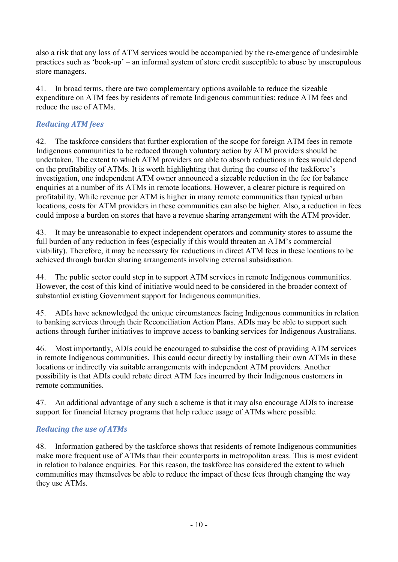also a risk that any loss of ATM services would be accompanied by the re-emergence of undesirable practices such as 'book-up' – an informal system of store credit susceptible to abuse by unscrupulous store managers.

41. In broad terms, there are two complementary options available to reduce the sizeable expenditure on ATM fees by residents of remote Indigenous communities: reduce ATM fees and reduce the use of ATMs.

### *Reducing ATM fees*

42. The taskforce considers that further exploration of the scope for foreign ATM fees in remote Indigenous communities to be reduced through voluntary action by ATM providers should be undertaken. The extent to which ATM providers are able to absorb reductions in fees would depend on the profitability of ATMs. It is worth highlighting that during the course of the taskforce's investigation, one independent ATM owner announced a sizeable reduction in the fee for balance enquiries at a number of its ATMs in remote locations. However, a clearer picture is required on profitability. While revenue per ATM is higher in many remote communities than typical urban locations, costs for ATM providers in these communities can also be higher. Also, a reduction in fees could impose a burden on stores that have a revenue sharing arrangement with the ATM provider.

43. It may be unreasonable to expect independent operators and community stores to assume the full burden of any reduction in fees (especially if this would threaten an ATM's commercial viability). Therefore, it may be necessary for reductions in direct ATM fees in these locations to be achieved through burden sharing arrangements involving external subsidisation.

44. The public sector could step in to support ATM services in remote Indigenous communities. However, the cost of this kind of initiative would need to be considered in the broader context of substantial existing Government support for Indigenous communities.

45. ADIs have acknowledged the unique circumstances facing Indigenous communities in relation to banking services through their Reconciliation Action Plans. ADIs may be able to support such actions through further initiatives to improve access to banking services for Indigenous Australians.

46. Most importantly, ADIs could be encouraged to subsidise the cost of providing ATM services in remote Indigenous communities. This could occur directly by installing their own ATMs in these locations or indirectly via suitable arrangements with independent ATM providers. Another possibility is that ADIs could rebate direct ATM fees incurred by their Indigenous customers in remote communities.

47. An additional advantage of any such a scheme is that it may also encourage ADIs to increase support for financial literacy programs that help reduce usage of ATMs where possible.

### *Reducing the use of ATMs*

48. Information gathered by the taskforce shows that residents of remote Indigenous communities make more frequent use of ATMs than their counterparts in metropolitan areas. This is most evident in relation to balance enquiries. For this reason, the taskforce has considered the extent to which communities may themselves be able to reduce the impact of these fees through changing the way they use ATMs.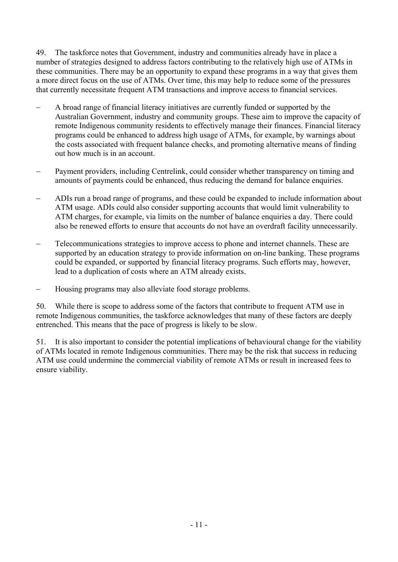49. The taskforce notes that Government, industry and communities already have in place a number of strategies designed to address factors contributing to the relatively high use of ATMs in these communities. There may be an opportunity to expand these programs in a way that gives them a more direct focus on the use of ATMs. Over time, this may help to reduce some of the pressures that currently necessitate frequent ATM transactions and improve access to financial services.

- A broad range of financial literacy initiatives are currently funded or supported by the Australian Government, industry and community groups. These aim to improve the capacity of remote Indigenous community residents to effectively manage their finances. Financial literacy programs could be enhanced to address high usage of ATMs, for example, by warnings about the costs associated with frequent balance checks, and promoting alternative means of finding out how much is in an account.
- Payment providers, including Centrelink, could consider whether transparency on timing and amounts of payments could be enhanced, thus reducing the demand for balance enquiries.
- ADIs run a broad range of programs, and these could be expanded to include information about ATM usage. ADIs could also consider supporting accounts that would limit vulnerability to ATM charges, for example, via limits on the number of balance enquiries a day. There could also be renewed efforts to ensure that accounts do not have an overdraft facility unnecessarily.
- Telecommunications strategies to improve access to phone and internet channels. These are supported by an education strategy to provide information on on-line banking. These programs could be expanded, or supported by financial literacy programs. Such efforts may, however, lead to a duplication of costs where an ATM already exists.
- Housing programs may also alleviate food storage problems.

50. While there is scope to address some of the factors that contribute to frequent ATM use in remote Indigenous communities, the taskforce acknowledges that many of these factors are deeply entrenched. This means that the pace of progress is likely to be slow.

51. It is also important to consider the potential implications of behavioural change for the viability of ATMs located in remote Indigenous communities. There may be the risk that success in reducing ATM use could undermine the commercial viability of remote ATMs or result in increased fees to ensure viability.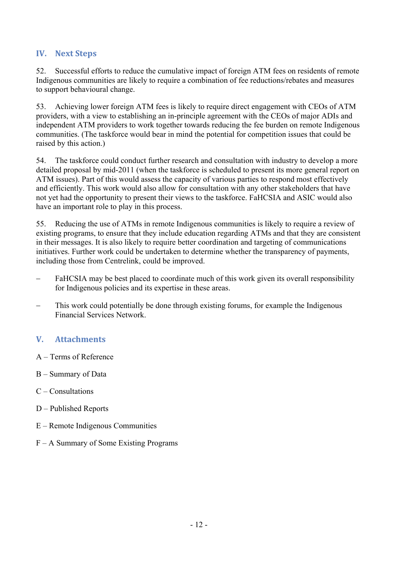### **IV. Next Steps**

52. Successful efforts to reduce the cumulative impact of foreign ATM fees on residents of remote Indigenous communities are likely to require a combination of fee reductions/rebates and measures to support behavioural change.

53. Achieving lower foreign ATM fees is likely to require direct engagement with CEOs of ATM providers, with a view to establishing an in-principle agreement with the CEOs of major ADIs and independent ATM providers to work together towards reducing the fee burden on remote Indigenous communities. (The taskforce would bear in mind the potential for competition issues that could be raised by this action.)

54. The taskforce could conduct further research and consultation with industry to develop a more detailed proposal by mid-2011 (when the taskforce is scheduled to present its more general report on ATM issues). Part of this would assess the capacity of various parties to respond most effectively and efficiently. This work would also allow for consultation with any other stakeholders that have not yet had the opportunity to present their views to the taskforce. FaHCSIA and ASIC would also have an important role to play in this process.

55. Reducing the use of ATMs in remote Indigenous communities is likely to require a review of existing programs, to ensure that they include education regarding ATMs and that they are consistent in their messages. It is also likely to require better coordination and targeting of communications initiatives. Further work could be undertaken to determine whether the transparency of payments, including those from Centrelink, could be improved.

- FaHCSIA may be best placed to coordinate much of this work given its overall responsibility for Indigenous policies and its expertise in these areas.
- This work could potentially be done through existing forums, for example the Indigenous Financial Services Network.

# **V. Attachments**

- A Terms of Reference
- B Summary of Data
- C Consultations
- D Published Reports
- E Remote Indigenous Communities
- F A Summary of Some Existing Programs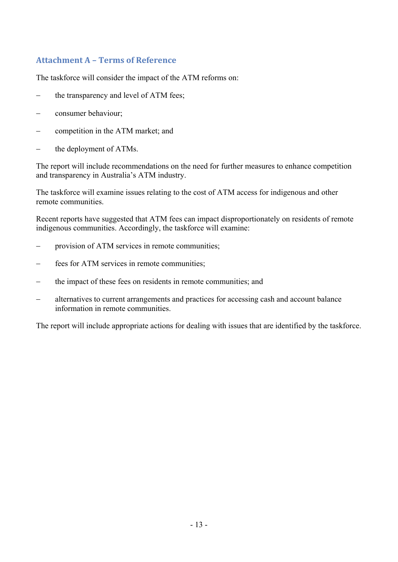# **Attachment A – Terms of Reference**

The taskforce will consider the impact of the ATM reforms on:

- the transparency and level of ATM fees;
- consumer behaviour;
- competition in the ATM market; and
- the deployment of ATMs.

The report will include recommendations on the need for further measures to enhance competition and transparency in Australia's ATM industry.

The taskforce will examine issues relating to the cost of ATM access for indigenous and other remote communities.

Recent reports have suggested that ATM fees can impact disproportionately on residents of remote indigenous communities. Accordingly, the taskforce will examine:

- provision of ATM services in remote communities;
- fees for ATM services in remote communities;
- the impact of these fees on residents in remote communities; and
- alternatives to current arrangements and practices for accessing cash and account balance information in remote communities.

The report will include appropriate actions for dealing with issues that are identified by the taskforce.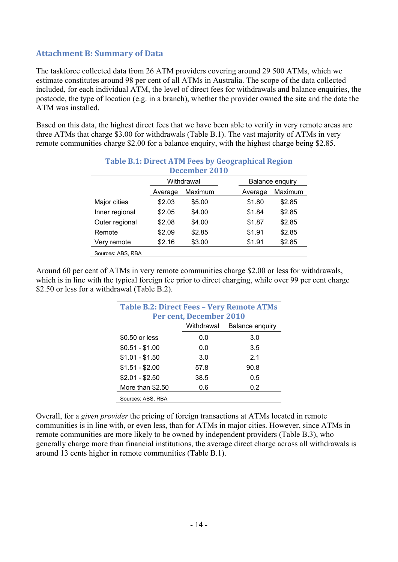### **Attachment B: Summary of Data**

The taskforce collected data from 26 ATM providers covering around 29 500 ATMs, which we estimate constitutes around 98 per cent of all ATMs in Australia. The scope of the data collected included, for each individual ATM, the level of direct fees for withdrawals and balance enquiries, the postcode, the type of location (e.g. in a branch), whether the provider owned the site and the date the ATM was installed.

Based on this data, the highest direct fees that we have been able to verify in very remote areas are three ATMs that charge \$3.00 for withdrawals (Table B.1). The vast majority of ATMs in very remote communities charge \$2.00 for a balance enquiry, with the highest charge being \$2.85.

| <b>Table B.1: Direct ATM Fees by Geographical Region</b> |         |                      |         |                 |
|----------------------------------------------------------|---------|----------------------|---------|-----------------|
|                                                          |         | <b>December 2010</b> |         |                 |
|                                                          |         | Withdrawal           |         | Balance enquiry |
|                                                          | Average | Maximum              | Average | Maximum         |
| Major cities                                             | \$2.03  | \$5.00               | \$1.80  | \$2.85          |
| Inner regional                                           | \$2.05  | \$4.00               | \$1.84  | \$2.85          |
| Outer regional                                           | \$2.08  | \$4.00               | \$1.87  | \$2.85          |
| Remote                                                   | \$2.09  | \$2.85               | \$1.91  | \$2.85          |
| Very remote                                              | \$2.16  | \$3.00               | \$1.91  | \$2.85          |
| Sources: ABS, RBA                                        |         |                      |         |                 |

Around 60 per cent of ATMs in very remote communities charge \$2.00 or less for withdrawals, which is in line with the typical foreign fee prior to direct charging, while over 99 per cent charge \$2.50 or less for a withdrawal (Table B.2).

| <b>Table B.2: Direct Fees - Very Remote ATMs</b> |                         |                 |
|--------------------------------------------------|-------------------------|-----------------|
|                                                  | Per cent, December 2010 |                 |
|                                                  | Withdrawal              | Balance enquiry |
| \$0.50 or less                                   | 0.0                     | 3.0             |
| $$0.51 - $1.00$                                  | 0.0                     | 3.5             |
| $$1.01 - $1.50$                                  | 3.0                     | 2.1             |
| $$1.51 - $2.00$                                  | 57.8                    | 90.8            |
| $$2.01 - $2.50$                                  | 38.5                    | 0.5             |
| More than \$2.50                                 | 0.6                     | 0.2             |
| Sources: ABS, RBA                                |                         |                 |

Overall, for a *given provider* the pricing of foreign transactions at ATMs located in remote communities is in line with, or even less, than for ATMs in major cities. However, since ATMs in remote communities are more likely to be owned by independent providers (Table B.3), who generally charge more than financial institutions, the average direct charge across all withdrawals is around 13 cents higher in remote communities (Table B.1).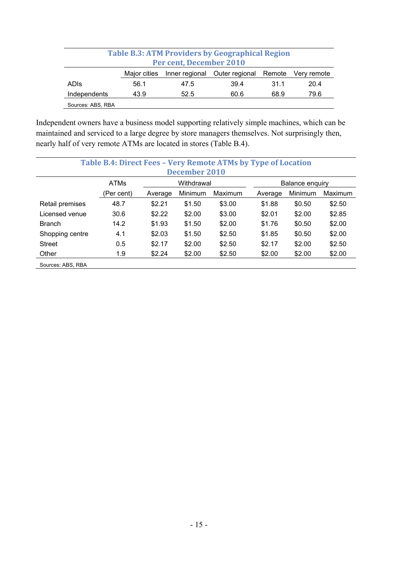|                   |              |                         | <b>Table B.3: ATM Providers by Geographical Region</b> |      |             |
|-------------------|--------------|-------------------------|--------------------------------------------------------|------|-------------|
|                   |              | Per cent, December 2010 |                                                        |      |             |
|                   | Major cities | Inner regional          | Outer regional Remote                                  |      | Very remote |
| <b>ADIS</b>       | 56.1         | 47.5                    | 39.4                                                   | 31.1 | 20.4        |
| Independents      | 43.9         | 52.5                    | 60.6                                                   | 68.9 | 79.6        |
| Sources: ABS, RBA |              |                         |                                                        |      |             |

Independent owners have a business model supporting relatively simple machines, which can be maintained and serviced to a large degree by store managers themselves. Not surprisingly then, nearly half of very remote ATMs are located in stores (Table B.4).

|                   | Table B.4: Direct Fees - Very Remote ATMs by Type of Location |         | <b>December 2010</b> |         |         |                 |         |
|-------------------|---------------------------------------------------------------|---------|----------------------|---------|---------|-----------------|---------|
|                   | <b>ATMs</b>                                                   |         | Withdrawal           |         |         | Balance enquiry |         |
|                   | (Per cent)                                                    | Average | Minimum              | Maximum | Average | Minimum         | Maximum |
| Retail premises   | 48.7                                                          | \$2.21  | \$1.50               | \$3.00  | \$1.88  | \$0.50          | \$2.50  |
| Licensed venue    | 30.6                                                          | \$2.22  | \$2.00               | \$3.00  | \$2.01  | \$2.00          | \$2.85  |
| <b>Branch</b>     | 14.2                                                          | \$1.93  | \$1.50               | \$2.00  | \$1.76  | \$0.50          | \$2.00  |
| Shopping centre   | 4.1                                                           | \$2.03  | \$1.50               | \$2.50  | \$1.85  | \$0.50          | \$2.00  |
| <b>Street</b>     | 0.5                                                           | \$2.17  | \$2.00               | \$2.50  | \$2.17  | \$2.00          | \$2.50  |
| Other             | 1.9                                                           | \$2.24  | \$2.00               | \$2.50  | \$2.00  | \$2.00          | \$2.00  |
| Sources: ABS, RBA |                                                               |         |                      |         |         |                 |         |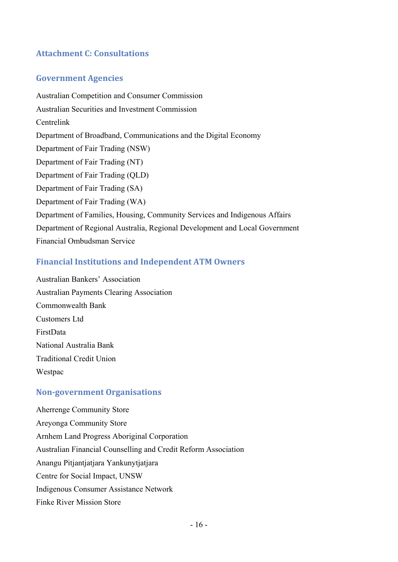# **Attachment C: Consultations**

### **Government Agencies**

Australian Competition and Consumer Commission Australian Securities and Investment Commission Centrelink Department of Broadband, Communications and the Digital Economy Department of Fair Trading (NSW) Department of Fair Trading (NT) Department of Fair Trading (QLD) Department of Fair Trading (SA) Department of Fair Trading (WA) Department of Families, Housing, Community Services and Indigenous Affairs Department of Regional Australia, Regional Development and Local Government Financial Ombudsman Service

### **Financial Institutions and Independent ATM Owners**

Australian Bankers' Association Australian Payments Clearing Association Commonwealth Bank Customers Ltd FirstData National Australia Bank Traditional Credit Union Westpac

#### **Nongovernment Organisations**

Aherrenge Community Store Areyonga Community Store Arnhem Land Progress Aboriginal Corporation Australian Financial Counselling and Credit Reform Association Anangu Pitjantjatjara Yankunytjatjara Centre for Social Impact, UNSW Indigenous Consumer Assistance Network Finke River Mission Store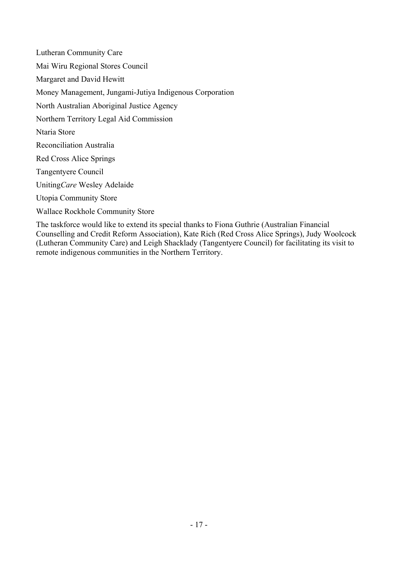Lutheran Community Care Mai Wiru Regional Stores Council Margaret and David Hewitt Money Management, Jungami-Jutiya Indigenous Corporation North Australian Aboriginal Justice Agency Northern Territory Legal Aid Commission Ntaria Store Reconciliation Australia Red Cross Alice Springs Tangentyere Council Uniting*Care* Wesley Adelaide Utopia Community Store Wallace Rockhole Community Store

The taskforce would like to extend its special thanks to Fiona Guthrie (Australian Financial Counselling and Credit Reform Association), Kate Rich (Red Cross Alice Springs), Judy Woolcock (Lutheran Community Care) and Leigh Shacklady (Tangentyere Council) for facilitating its visit to remote indigenous communities in the Northern Territory.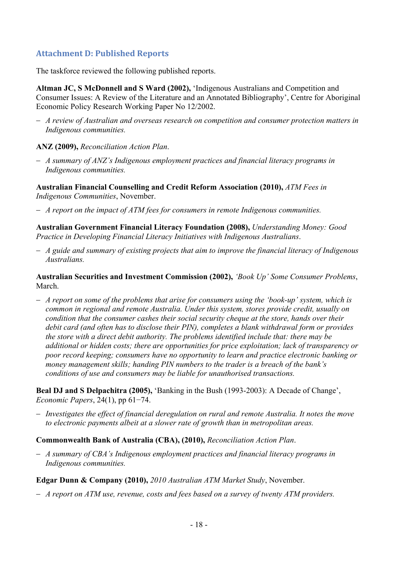# **Attachment D: Published Reports**

The taskforce reviewed the following published reports.

**Altman JC, S McDonnell and S Ward (2002),** 'Indigenous Australians and Competition and Consumer Issues: A Review of the Literature and an Annotated Bibliography', Centre for Aboriginal Economic Policy Research Working Paper No 12/2002.

 *A review of Australian and overseas research on competition and consumer protection matters in Indigenous communities.* 

#### **ANZ (2009),** *Reconciliation Action Plan*.

 *A summary of ANZ's Indigenous employment practices and financial literacy programs in Indigenous communities.* 

**Australian Financial Counselling and Credit Reform Association (2010),** *ATM Fees in Indigenous Communities*, November.

*A report on the impact of ATM fees for consumers in remote Indigenous communities.* 

**Australian Government Financial Literacy Foundation (2008),** *Understanding Money: Good Practice in Developing Financial Literacy Initiatives with Indigenous Australians*.

 *A guide and summary of existing projects that aim to improve the financial literacy of Indigenous Australians.* 

**Australian Securities and Investment Commission (2002),** *'Book Up' Some Consumer Problems*, March.

 *A report on some of the problems that arise for consumers using the 'book-up' system, which is common in regional and remote Australia. Under this system, stores provide credit, usually on condition that the consumer cashes their social security cheque at the store, hands over their debit card (and often has to disclose their PIN), completes a blank withdrawal form or provides the store with a direct debit authority. The problems identified include that: there may be additional or hidden costs; there are opportunities for price exploitation; lack of transparency or poor record keeping; consumers have no opportunity to learn and practice electronic banking or money management skills; handing PIN numbers to the trader is a breach of the bank's conditions of use and consumers may be liable for unauthorised transactions.* 

**Beal DJ and S Delpachitra (2005),** 'Banking in the Bush (1993-2003): A Decade of Change', *Economic Papers*, 24(1), pp 61−74.

 *Investigates the effect of financial deregulation on rural and remote Australia. It notes the move to electronic payments albeit at a slower rate of growth than in metropolitan areas.* 

#### **Commonwealth Bank of Australia (CBA), (2010),** *Reconciliation Action Plan*.

 *A summary of CBA's Indigenous employment practices and financial literacy programs in Indigenous communities.* 

**Edgar Dunn & Company (2010),** *2010 Australian ATM Market Study*, November.

*A report on ATM use, revenue, costs and fees based on a survey of twenty ATM providers.*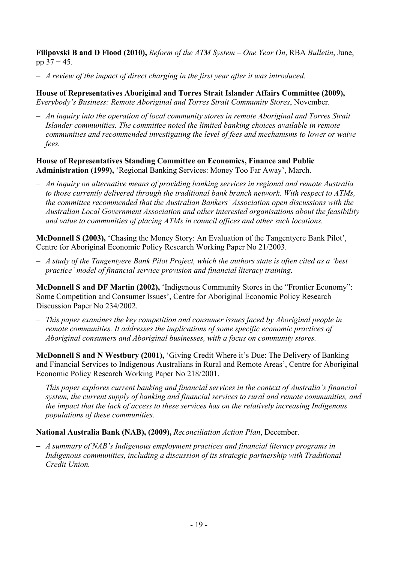**Filipovski B and D Flood (2010),** *Reform of the ATM System – One Year On*, RBA *Bulletin*, June, pp 37 − 45.

*A review of the impact of direct charging in the first year after it was introduced.* 

**House of Representatives Aboriginal and Torres Strait Islander Affairs Committee (2009),** *Everybody's Business: Remote Aboriginal and Torres Strait Community Stores*, November.

 *An inquiry into the operation of local community stores in remote Aboriginal and Torres Strait Islander communities. The committee noted the limited banking choices available in remote communities and recommended investigating the level of fees and mechanisms to lower or waive fees.* 

#### **House of Representatives Standing Committee on Economics, Finance and Public Administration (1999),** 'Regional Banking Services: Money Too Far Away', March.

 *An inquiry on alternative means of providing banking services in regional and remote Australia to those currently delivered through the traditional bank branch network. With respect to ATMs, the committee recommended that the Australian Bankers' Association open discussions with the Australian Local Government Association and other interested organisations about the feasibility and value to communities of placing ATMs in council offices and other such locations.* 

**McDonnell S (2003),** 'Chasing the Money Story: An Evaluation of the Tangentyere Bank Pilot', Centre for Aboriginal Economic Policy Research Working Paper No 21/2003.

 *A study of the Tangentyere Bank Pilot Project, which the authors state is often cited as a 'best practice' model of financial service provision and financial literacy training.* 

**McDonnell S and DF Martin (2002),** 'Indigenous Community Stores in the "Frontier Economy": Some Competition and Consumer Issues', Centre for Aboriginal Economic Policy Research Discussion Paper No 234/2002.

 *This paper examines the key competition and consumer issues faced by Aboriginal people in remote communities. It addresses the implications of some specific economic practices of Aboriginal consumers and Aboriginal businesses, with a focus on community stores.* 

**McDonnell S and N Westbury (2001),** 'Giving Credit Where it's Due: The Delivery of Banking and Financial Services to Indigenous Australians in Rural and Remote Areas', Centre for Aboriginal Economic Policy Research Working Paper No 218/2001.

 *This paper explores current banking and financial services in the context of Australia's financial system, the current supply of banking and financial services to rural and remote communities, and the impact that the lack of access to these services has on the relatively increasing Indigenous populations of these communities.* 

#### **National Australia Bank (NAB), (2009),** *Reconciliation Action Plan*, December.

 *A summary of NAB's Indigenous employment practices and financial literacy programs in Indigenous communities, including a discussion of its strategic partnership with Traditional Credit Union.*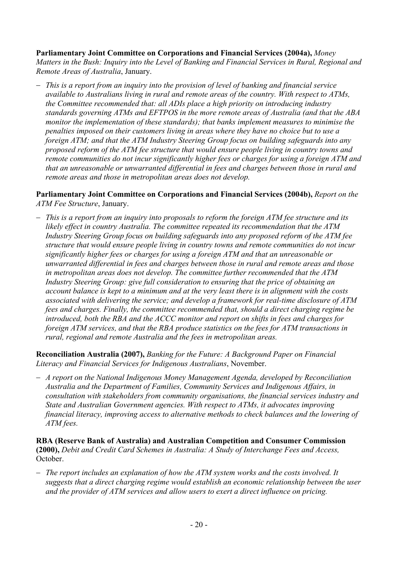#### **Parliamentary Joint Committee on Corporations and Financial Services (2004a),** *Money*

*Matters in the Bush: Inquiry into the Level of Banking and Financial Services in Rural, Regional and Remote Areas of Australia*, January.

 *This is a report from an inquiry into the provision of level of banking and financial service available to Australians living in rural and remote areas of the country. With respect to ATMs, the Committee recommended that: all ADIs place a high priority on introducing industry standards governing ATMs and EFTPOS in the more remote areas of Australia (and that the ABA monitor the implementation of these standards); that banks implement measures to minimise the penalties imposed on their customers living in areas where they have no choice but to use a foreign ATM; and that the ATM Industry Steering Group focus on building safeguards into any proposed reform of the ATM fee structure that would ensure people living in country towns and remote communities do not incur significantly higher fees or charges for using a foreign ATM and that an unreasonable or unwarranted differential in fees and charges between those in rural and remote areas and those in metropolitan areas does not develop.* 

**Parliamentary Joint Committee on Corporations and Financial Services (2004b),** *Report on the ATM Fee Structure*, January.

 *This is a report from an inquiry into proposals to reform the foreign ATM fee structure and its likely effect in country Australia. The committee repeated its recommendation that the ATM Industry Steering Group focus on building safeguards into any proposed reform of the ATM fee structure that would ensure people living in country towns and remote communities do not incur significantly higher fees or charges for using a foreign ATM and that an unreasonable or unwarranted differential in fees and charges between those in rural and remote areas and those in metropolitan areas does not develop. The committee further recommended that the ATM Industry Steering Group: give full consideration to ensuring that the price of obtaining an account balance is kept to a minimum and at the very least there is in alignment with the costs associated with delivering the service; and develop a framework for real-time disclosure of ATM fees and charges. Finally, the committee recommended that, should a direct charging regime be introduced, both the RBA and the ACCC monitor and report on shifts in fees and charges for foreign ATM services, and that the RBA produce statistics on the fees for ATM transactions in rural, regional and remote Australia and the fees in metropolitan areas.* 

**Reconciliation Australia (2007),** *Banking for the Future: A Background Paper on Financial Literacy and Financial Services for Indigenous Australians*, November.

 *A report on the National Indigenous Money Management Agenda, developed by Reconciliation Australia and the Department of Families, Community Services and Indigenous Affairs, in consultation with stakeholders from community organisations, the financial services industry and State and Australian Government agencies. With respect to ATMs, it advocates improving financial literacy, improving access to alternative methods to check balances and the lowering of ATM fees.* 

**RBA (Reserve Bank of Australia) and Australian Competition and Consumer Commission (2000),** *Debit and Credit Card Schemes in Australia: A Study of Interchange Fees and Access,* October.

 *The report includes an explanation of how the ATM system works and the costs involved. It suggests that a direct charging regime would establish an economic relationship between the user and the provider of ATM services and allow users to exert a direct influence on pricing.*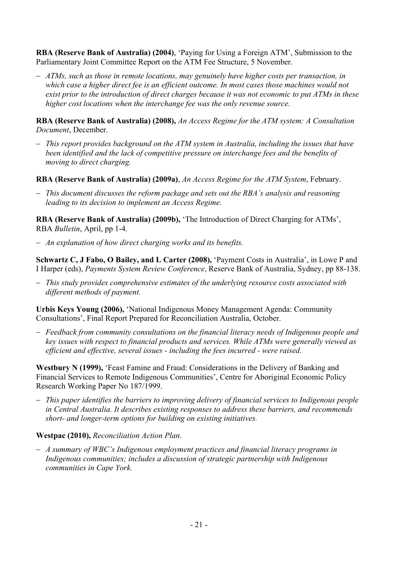**RBA (Reserve Bank of Australia) (2004)**, 'Paying for Using a Foreign ATM', Submission to the Parliamentary Joint Committee Report on the ATM Fee Structure, 5 November.

 *ATMs, such as those in remote locations, may genuinely have higher costs per transaction, in which case a higher direct fee is an efficient outcome. In most cases those machines would not exist prior to the introduction of direct charges because it was not economic to put ATMs in these higher cost locations when the interchange fee was the only revenue source.* 

**RBA (Reserve Bank of Australia) (2008),** *An Access Regime for the ATM system: A Consultation Document*, December.

- *This report provides background on the ATM system in Australia, including the issues that have been identified and the lack of competitive pressure on interchange fees and the benefits of moving to direct charging.*
- **RBA (Reserve Bank of Australia) (2009a)**, *An Access Regime for the ATM System*, February.
- *This document discusses the reform package and sets out the RBA's analysis and reasoning leading to its decision to implement an Access Regime.*

**RBA (Reserve Bank of Australia) (2009b),** 'The Introduction of Direct Charging for ATMs', RBA *Bulletin*, April, pp 1-4.

*An explanation of how direct charging works and its benefits.* 

**Schwartz C, J Fabo, O Bailey, and L Carter (2008),** 'Payment Costs in Australia', in Lowe P and I Harper (eds), *Payments System Review Conference*, Reserve Bank of Australia, Sydney, pp 88-138.

 *This study provides comprehensive estimates of the underlying resource costs associated with different methods of payment.* 

**Urbis Keys Young (2006),** 'National Indigenous Money Management Agenda: Community Consultations', Final Report Prepared for Reconciliation Australia, October.

 *Feedback from community consultations on the financial literacy needs of Indigenous people and key issues with respect to financial products and services. While ATMs were generally viewed as efficient and effective, several issues - including the fees incurred - were raised.* 

**Westbury N (1999),** 'Feast Famine and Fraud: Considerations in the Delivery of Banking and Financial Services to Remote Indigenous Communities', Centre for Aboriginal Economic Policy Research Working Paper No 187/1999.

 *This paper identifies the barriers to improving delivery of financial services to Indigenous people in Central Australia. It describes existing responses to address these barriers, and recommends short- and longer-term options for building on existing initiatives.* 

### **Westpac (2010),** *Reconciliation Action Plan*.

 *A summary of WBC's Indigenous employment practices and financial literacy programs in Indigenous communities; includes a discussion of strategic partnership with Indigenous communities in Cape York.*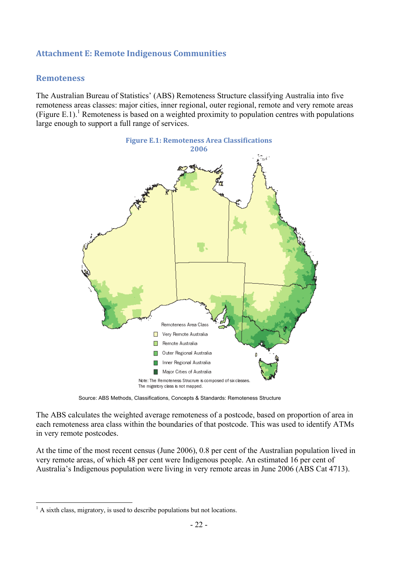# **Attachment E: Remote Indigenous Communities**

#### **Remoteness**

The Australian Bureau of Statistics' (ABS) Remoteness Structure classifying Australia into five remoteness areas classes: major cities, inner regional, outer regional, remote and very remote areas (Figure E.1).<sup>1</sup> Remoteness is based on a weighted proximity to population centres with populations large enough to support a full range of services.



Source: ABS Methods, Classifications, Concepts & Standards: Remoteness Structure

The ABS calculates the weighted average remoteness of a postcode, based on proportion of area in each remoteness area class within the boundaries of that postcode. This was used to identify ATMs in very remote postcodes.

At the time of the most recent census (June 2006), 0.8 per cent of the Australian population lived in very remote areas, of which 48 per cent were Indigenous people. An estimated 16 per cent of Australia's Indigenous population were living in very remote areas in June 2006 (ABS Cat 4713).

1

<sup>&</sup>lt;sup>1</sup> A sixth class, migratory, is used to describe populations but not locations.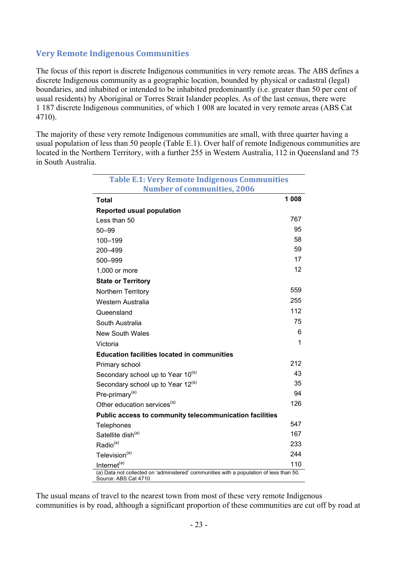### **Very Remote Indigenous Communities**

The focus of this report is discrete Indigenous communities in very remote areas. The ABS defines a discrete Indigenous community as a geographic location, bounded by physical or cadastral (legal) boundaries, and inhabited or intended to be inhabited predominantly (i.e. greater than 50 per cent of usual residents) by Aboriginal or Torres Strait Islander peoples. As of the last census, there were 1 187 discrete Indigenous communities, of which 1 008 are located in very remote areas (ABS Cat 4710).

The majority of these very remote Indigenous communities are small, with three quarter having a usual population of less than 50 people (Table E.1). Over half of remote Indigenous communities are located in the Northern Territory, with a further 255 in Western Australia, 112 in Queensland and 75 in South Australia.

| <b>Table E.1: Very Remote Indigenous Communities</b>                                                            |         |
|-----------------------------------------------------------------------------------------------------------------|---------|
| <b>Number of communities, 2006</b>                                                                              |         |
| Total                                                                                                           | 1 0 0 8 |
| <b>Reported usual population</b>                                                                                |         |
| Less than 50                                                                                                    | 767     |
| $50 - 99$                                                                                                       | 95      |
| 100-199                                                                                                         | 58      |
| 200-499                                                                                                         | 59      |
| 500-999                                                                                                         | 17      |
| 1,000 or more                                                                                                   | 12      |
| <b>State or Territory</b>                                                                                       |         |
| Northern Territory                                                                                              | 559     |
| Western Australia                                                                                               | 255     |
| Queensland                                                                                                      | 112     |
| South Australia                                                                                                 | 75      |
| <b>New South Wales</b>                                                                                          | 6       |
| Victoria                                                                                                        | 1       |
| <b>Education facilities located in communities</b>                                                              |         |
| Primary school                                                                                                  | 212     |
| Secondary school up to Year 10 <sup>(a)</sup>                                                                   | 43      |
| Secondary school up to Year 12 <sup>(a)</sup>                                                                   | 35      |
| Pre-primary <sup>(a)</sup>                                                                                      | 94      |
| Other education services <sup>(a)</sup>                                                                         | 126     |
| Public access to community telecommunication facilities                                                         |         |
| Telephones                                                                                                      | 547     |
| Satellite dish <sup>(a)</sup>                                                                                   | 167     |
| Radio <sup>(a)</sup>                                                                                            | 233     |
| Television <sup>(a)</sup>                                                                                       | 244     |
| Internet <sup>(a)</sup>                                                                                         | 110     |
| (a) Data not collected on 'administered' communities with a population of less than 50.<br>Source: ABS Cat 4710 |         |

The usual means of travel to the nearest town from most of these very remote Indigenous communities is by road, although a significant proportion of these communities are cut off by road at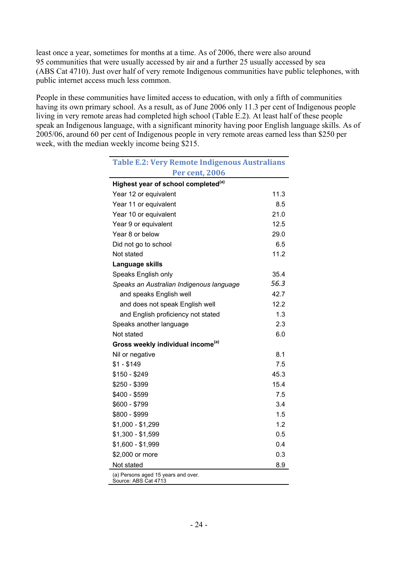least once a year, sometimes for months at a time. As of 2006, there were also around 95 communities that were usually accessed by air and a further 25 usually accessed by sea (ABS Cat 4710). Just over half of very remote Indigenous communities have public telephones, with public internet access much less common.

People in these communities have limited access to education, with only a fifth of communities having its own primary school. As a result, as of June 2006 only 11.3 per cent of Indigenous people living in very remote areas had completed high school (Table E.2). At least half of these people speak an Indigenous language, with a significant minority having poor English language skills. As of 2005/06, around 60 per cent of Indigenous people in very remote areas earned less than \$250 per week, with the median weekly income being \$215.

| <b>Table E.2: Very Remote Indigenous Australians</b>        |      |
|-------------------------------------------------------------|------|
| <b>Per cent, 2006</b>                                       |      |
| Highest year of school completed <sup>(a)</sup>             |      |
| Year 12 or equivalent                                       | 11.3 |
| Year 11 or equivalent                                       | 8.5  |
| Year 10 or equivalent                                       | 21.0 |
| Year 9 or equivalent                                        | 12.5 |
| Year 8 or below                                             | 29.0 |
| Did not go to school                                        | 6.5  |
| Not stated                                                  | 11.2 |
| Language skills                                             |      |
| Speaks English only                                         | 35.4 |
| Speaks an Australian Indigenous language                    | 56.3 |
| and speaks English well                                     | 42.7 |
| and does not speak English well                             | 12.2 |
| and English proficiency not stated                          | 1.3  |
| Speaks another language                                     | 2.3  |
| Not stated                                                  | 6.0  |
| Gross weekly individual income <sup>(a)</sup>               |      |
| Nil or negative                                             | 8.1  |
| $$1 - $149$                                                 | 7.5  |
| $$150 - $249$                                               | 45.3 |
| \$250 - \$399                                               | 15.4 |
| \$400 - \$599                                               | 7.5  |
| \$600 - \$799                                               | 3.4  |
| \$800 - \$999                                               | 1.5  |
| $$1,000 - $1,299$                                           | 1.2  |
| $$1,300 - $1,599$                                           | 0.5  |
| $$1,600 - $1,999$                                           | 0.4  |
| \$2,000 or more                                             | 0.3  |
| Not stated                                                  | 8.9  |
| (a) Persons aged 15 years and over.<br>Source: ABS Cat 4713 |      |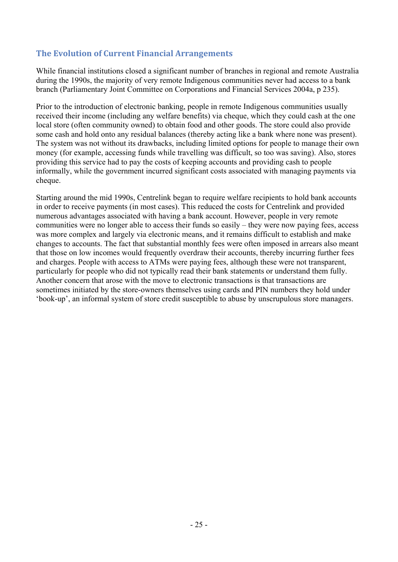# **The Evolution of Current Financial Arrangements**

While financial institutions closed a significant number of branches in regional and remote Australia during the 1990s, the majority of very remote Indigenous communities never had access to a bank branch (Parliamentary Joint Committee on Corporations and Financial Services 2004a, p 235).

Prior to the introduction of electronic banking, people in remote Indigenous communities usually received their income (including any welfare benefits) via cheque, which they could cash at the one local store (often community owned) to obtain food and other goods. The store could also provide some cash and hold onto any residual balances (thereby acting like a bank where none was present). The system was not without its drawbacks, including limited options for people to manage their own money (for example, accessing funds while travelling was difficult, so too was saving). Also, stores providing this service had to pay the costs of keeping accounts and providing cash to people informally, while the government incurred significant costs associated with managing payments via cheque.

Starting around the mid 1990s, Centrelink began to require welfare recipients to hold bank accounts in order to receive payments (in most cases). This reduced the costs for Centrelink and provided numerous advantages associated with having a bank account. However, people in very remote communities were no longer able to access their funds so easily – they were now paying fees, access was more complex and largely via electronic means, and it remains difficult to establish and make changes to accounts. The fact that substantial monthly fees were often imposed in arrears also meant that those on low incomes would frequently overdraw their accounts, thereby incurring further fees and charges. People with access to ATMs were paying fees, although these were not transparent, particularly for people who did not typically read their bank statements or understand them fully. Another concern that arose with the move to electronic transactions is that transactions are sometimes initiated by the store-owners themselves using cards and PIN numbers they hold under 'book-up', an informal system of store credit susceptible to abuse by unscrupulous store managers.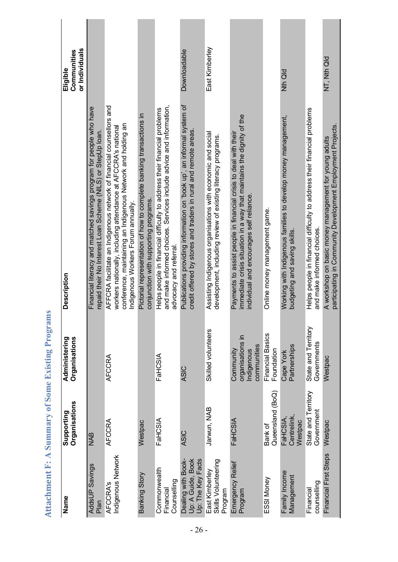| Name                                                         | Organisations<br>Supporting        | Administering<br>Organisations                             | <b>Description</b>                                                                                                                                                                                                                          | or Individuals<br>Communities<br>Eligible |
|--------------------------------------------------------------|------------------------------------|------------------------------------------------------------|---------------------------------------------------------------------------------------------------------------------------------------------------------------------------------------------------------------------------------------------|-------------------------------------------|
| AddsUP Savings<br>Plan                                       | <b>NAB</b>                         |                                                            | Financial literacy and matched savings program for people who have<br>repaid their No Interest Loan Scheme (NILS) or StepUp loan.                                                                                                           |                                           |
| Indigenous Network<br><b>AFCCRA's</b>                        | AFCCRA                             | AFCCRA                                                     | AFFCRA facilitate an Indigenous network of financial counsellors and<br>conference, maintaining an Indigenous Network and holding an<br>workers nationally, including attendance at AFCCRA's national<br>Indigenous Workers Forum annually. |                                           |
| Banking Story                                                | Westpac                            |                                                            | Pictorial representation of how to complete banking transactions in<br>conjunction with supporting programs.                                                                                                                                |                                           |
| Commonwealth<br>Counselling<br>Financial                     | FaHCSIA                            | FaHCSIA                                                    | and make informed choices. Services include advice and information,<br>Helps people in financial difficulty to address their financial problems<br>advocacy and referral.                                                                   |                                           |
| Dealing with Book-<br>Up: A Guide, Book<br>Up: The Key Facts | <b>ASIC</b>                        | <b>ASIC</b>                                                | Publications providing information on 'book up', an informal system of<br>credit offered by stores and traders in rural and remote areas.                                                                                                   | Downloadable                              |
| Skills Volunteering<br>East Kimberley<br>Program             | Jarwun, NAB                        | Skilled volunteers                                         | Assisting Indigenous organisations with economic and social<br>development, including review of existing literacy programs.                                                                                                                 | East Kimberley                            |
| Emergency Relief<br>Program                                  | FaHCSIA                            | organisations in<br>communities<br>Community<br>Indigenous | immediate crisis situation in a way that maintains the dignity of the<br>Payments to assist people in financial crisis to deal with their<br>individual and encourages self reliance.                                                       |                                           |
| ESSI Money                                                   | Queensland (BoQ)<br>Bank of        | <b>Financial Basics</b><br>Foundation                      | Online money management game.                                                                                                                                                                                                               |                                           |
| Family Income<br>Management                                  | Centrelink,<br>FaHCSIA,<br>Westpac | Partnerships<br>Cape York                                  | Working with Indigenous families to develop money management,<br>budgeting and saving skills.                                                                                                                                               | Nth Qld                                   |
| counselling<br>Financial                                     | State and Territory<br>Government  | State and Territory<br>Governments                         | Helps people in financial difficulty to address their financial problems<br>and make informed choices.                                                                                                                                      |                                           |
| Financial First Steps                                        | Westpac                            | Westpac                                                    | participating in Community Development Employment Projects.<br>A workshop on basic money management for young adults                                                                                                                        | NT, Nth Qld                               |

Attachment F: A Summary of Some Existing Programs **Attachment F: A Summary of Some Existing Programs**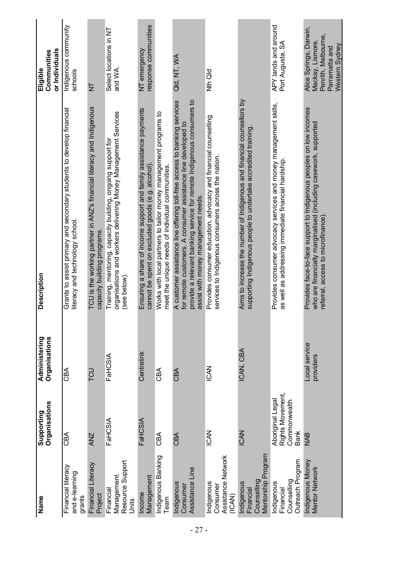| Name                                                              | Organisations<br>Supporting                                         | Organisations<br>Administering | Description                                                                                                                                                                                                                                               | or Individuals<br>Communities<br>Eligible                                                             |
|-------------------------------------------------------------------|---------------------------------------------------------------------|--------------------------------|-----------------------------------------------------------------------------------------------------------------------------------------------------------------------------------------------------------------------------------------------------------|-------------------------------------------------------------------------------------------------------|
| Financial literacy<br>and e-learning<br>grants                    | CBA                                                                 | <b>ABQ</b>                     | Grants to assist primary and secondary students to develop financial<br>literacy and technology school.                                                                                                                                                   | Indigenous community<br>schools                                                                       |
| Financial Literacy<br>Project                                     | <b>ANZ</b>                                                          | LCD                            | TCU is the working partner in ANZ's financial literacy and Indigenous<br>capacity building programs                                                                                                                                                       | $_{\mathsf{z}}^{\mathsf{h}}$                                                                          |
| Resource Support<br>Management<br>Financial<br>Units              | FaHCSIA                                                             | FaHCSIA                        | organisations and workers delivering Money Management Services<br>Training, mentoring, capacity building, ongoing support for<br>(see below).                                                                                                             | Select locations in NT<br>and WA.                                                                     |
| Management<br>Income                                              | FaHCSIA                                                             | Centrelink                     | Ensuring a share of income support and family assistance payments<br>cannot be spent on excluded goods (e.g. alcohol).                                                                                                                                    | response communities<br>NT emergency                                                                  |
| Indigenous Banking<br>Team                                        | CBA                                                                 | CBA                            | Works with local partners to tailor money management programs to<br>meet the unique needs of individual communities.                                                                                                                                      |                                                                                                       |
| Assistance Line<br>Indigenous<br>Consumer                         | CBA                                                                 | CBA                            | A customer assistance line offering toll-free access to banking services<br>provide a relevant banking service for remote Indigenous consumers to<br>for remote customers. A consumer assistance line developed to<br>assist with money management needs. | Qld, NT, WA                                                                                           |
| Assistance Network<br>Indigenous<br>Consumer<br>(ICAN)            | <b>ICAN</b>                                                         | <b>ICAN</b>                    | Provides consumer education, advocacy and financial counselling<br>services to Indigenous consumers across the nation                                                                                                                                     | Nth Qld                                                                                               |
| Mentorship Program<br>Counselling<br>Indigenous<br>Financial      | <b>ICAN</b>                                                         | ICAN, CBA                      | Aims to increase the number of Indigenous and financial counsellors by<br>supporting Indigenous people to undertake accredited training                                                                                                                   |                                                                                                       |
| <b>Outreach Program</b><br>Counselling<br>Indigenous<br>Financial | Rights Movement,<br>Aboriginal Legal<br>Commonwealth<br><b>Bank</b> |                                | Provides consumer advocacy services and money management skills,<br>as well as addressing immediate financial hardship                                                                                                                                    | APY lands and around<br>Port Augusta, SA                                                              |
| Indigenous Money<br><b>Mentor Network</b>                         | <b>NAB</b>                                                          | Local service<br>providers     | Provides face-to-face support to Indigenous peoples on low incomes<br>who are financially marginalised (including casework, supported<br>referral, access to microfinance)                                                                                | Alice Springs, Darwin,<br>Penrith, Melbourne,<br>Mackay, Lismore,<br>Western Sydney<br>Parramatta and |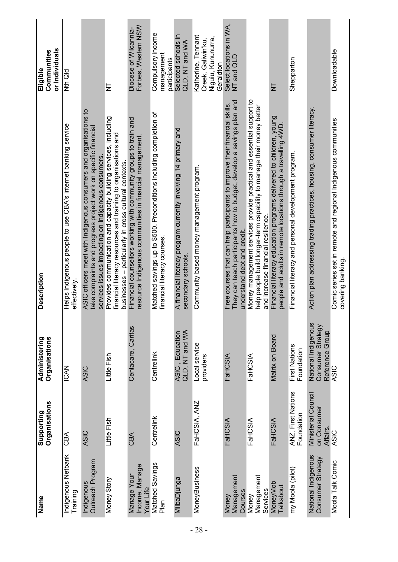| Name                                       | Organisations<br>Supporting                    | Administering<br>Organisations                              | Description                                                                                                                                                                                 | or Individuals<br>Communities<br>Eligible                                 |
|--------------------------------------------|------------------------------------------------|-------------------------------------------------------------|---------------------------------------------------------------------------------------------------------------------------------------------------------------------------------------------|---------------------------------------------------------------------------|
| Indigenous Netbank<br>Training             | <b>CBA</b>                                     | <b>ICAN</b>                                                 | Helps Indigenous people to use CBA's internet banking service<br>effectively                                                                                                                | Nth Qld                                                                   |
| Outreach Program<br>Indigenous             | <b>ASIC</b>                                    | <b>ASIC</b>                                                 | ASIC officers meet with Indigenous consumers and organisations to<br>take complaints and progress project work on specific financial<br>services issues impacting on Indigenous consumers.  |                                                                           |
| Money \$tory                               | Little Fish                                    | Little Fish                                                 | Provides communication and capacity building services, including<br>financial literacy resources and training to organisations and<br>businesses - particularly in cross cultural contexts. | $\overline{z}$                                                            |
| Income, Manage<br>Manage Your<br>Your Life | CBA                                            | Centacare, Caritas                                          | Financial counsellors working with community groups to train and<br>resource Indigenous communities in financial management.                                                                | Forbes, Western NSW<br>Diocese of Wilcannia-                              |
| Matched Savings<br>Plan                    | Centrelink                                     | Centrelink                                                  | Matched savings up to \$500. Preconditions including completion of<br>financial literacy courses.                                                                                           | Compulsory income<br>management<br>participants                           |
| MilbaDjunga                                | <b>ASIC</b>                                    | QLD, NT and WA<br>ASIC, Education                           | A financial literacy program currently involving 14 primary and<br>secondary schools.                                                                                                       | Selected schools in<br>QLD, NT and WA                                     |
| MoneyBusiness                              | FaHCSIA, ANZ                                   | Local service<br>providers                                  | Community based money management program.                                                                                                                                                   | Katherine, Tennant<br>Niguiu, Kununura<br>Creek, Galiwin'ku,<br>Geraldton |
| Management<br>Courses<br>Voney             | FaHCSIA                                        | FaHCSIA                                                     | They can teach participants how to budget, develop a savings plan and<br>Free courses that can help participants to improve their financial skills.<br>understand debt and credit.          | Select locations in WA,<br>NT and QLD                                     |
| Management<br>Services<br>Money            | FaHCSIA                                        | FaHCSIA                                                     | Money management services provide practical and essential support to<br>help people build longer-term capability to manage their money better<br>and increase financial resilience.         |                                                                           |
| MoneyMob<br>Talkabout                      | FaHCSIA                                        | Matrix on Board                                             | Financial literacy education programs delivered to children, young<br>people and adults in remote locations through a travelling 4WD                                                        | $\frac{\mathsf{L}}{\mathsf{L}}$                                           |
| my Moola (pilot)                           | ANZ, First Nations<br>Foundation               | First Nations<br>Foundation                                 | Financial literacy and personal development program.                                                                                                                                        | Shepparton                                                                |
| National Indigenous<br>Consumer Strategy   | Ministerial Council<br>on Consumer<br>Affairs. | National Indigenous<br>Consumer Strategy<br>Reference Group | Action plan addressing trading practices, housing, consumer literacy.                                                                                                                       |                                                                           |
| Moola Talk Comic                           | ASIC                                           | ASIC                                                        | Comic series set in remote and regional Indigenous communities<br>covering banking.                                                                                                         | Downloadable                                                              |